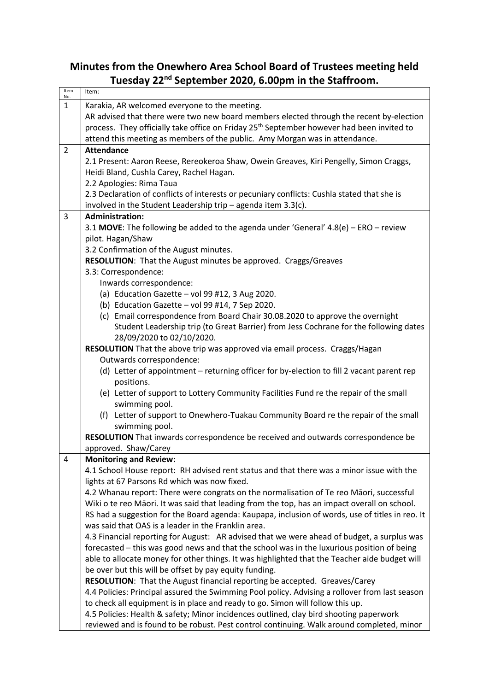## **Minutes from the Onewhero Area School Board of Trustees meeting held Tuesday 22nd September 2020, 6.00pm in the Staffroom.**

| Item<br>No.    | Item:                                                                                                 |
|----------------|-------------------------------------------------------------------------------------------------------|
| $\mathbf{1}$   | Karakia, AR welcomed everyone to the meeting.                                                         |
|                | AR advised that there were two new board members elected through the recent by-election               |
|                | process. They officially take office on Friday 25 <sup>th</sup> September however had been invited to |
|                | attend this meeting as members of the public. Amy Morgan was in attendance.                           |
| $\overline{2}$ | <b>Attendance</b>                                                                                     |
|                | 2.1 Present: Aaron Reese, Rereokeroa Shaw, Owein Greaves, Kiri Pengelly, Simon Craggs,                |
|                | Heidi Bland, Cushla Carey, Rachel Hagan.                                                              |
|                | 2.2 Apologies: Rima Taua                                                                              |
|                | 2.3 Declaration of conflicts of interests or pecuniary conflicts: Cushla stated that she is           |
|                | involved in the Student Leadership trip $-$ agenda item 3.3(c).                                       |
| 3              | <b>Administration:</b>                                                                                |
|                | 3.1 MOVE: The following be added to the agenda under 'General' $4.8(e)$ – ERO – review                |
|                | pilot. Hagan/Shaw                                                                                     |
|                | 3.2 Confirmation of the August minutes.                                                               |
|                | RESOLUTION: That the August minutes be approved. Craggs/Greaves                                       |
|                | 3.3: Correspondence:                                                                                  |
|                | Inwards correspondence:                                                                               |
|                | (a) Education Gazette $-$ vol 99 #12, 3 Aug 2020.                                                     |
|                | (b) Education Gazette - vol 99 #14, 7 Sep 2020.                                                       |
|                | (c) Email correspondence from Board Chair 30.08.2020 to approve the overnight                         |
|                | Student Leadership trip (to Great Barrier) from Jess Cochrane for the following dates                 |
|                | 28/09/2020 to 02/10/2020.                                                                             |
|                | RESOLUTION That the above trip was approved via email process. Craggs/Hagan                           |
|                | Outwards correspondence:                                                                              |
|                | (d) Letter of appointment - returning officer for by-election to fill 2 vacant parent rep             |
|                | positions.                                                                                            |
|                | (e) Letter of support to Lottery Community Facilities Fund re the repair of the small                 |
|                | swimming pool.                                                                                        |
|                | (f) Letter of support to Onewhero-Tuakau Community Board re the repair of the small                   |
|                | swimming pool.                                                                                        |
|                | RESOLUTION That inwards correspondence be received and outwards correspondence be                     |
|                | approved. Shaw/Carey                                                                                  |
| 4              | <b>Monitoring and Review:</b>                                                                         |
|                | 4.1 School House report: RH advised rent status and that there was a minor issue with the             |
|                | lights at 67 Parsons Rd which was now fixed.                                                          |
|                | 4.2 Whanau report: There were congrats on the normalisation of Te reo Māori, successful               |
|                | Wiki o te reo Māori. It was said that leading from the top, has an impact overall on school.          |
|                | RS had a suggestion for the Board agenda: Kaupapa, inclusion of words, use of titles in reo. It       |
|                | was said that OAS is a leader in the Franklin area.                                                   |
|                | 4.3 Financial reporting for August: AR advised that we were ahead of budget, a surplus was            |
|                | forecasted - this was good news and that the school was in the luxurious position of being            |
|                | able to allocate money for other things. It was highlighted that the Teacher aide budget will         |
|                | be over but this will be offset by pay equity funding.                                                |
|                | <b>RESOLUTION:</b> That the August financial reporting be accepted. Greaves/Carey                     |
|                | 4.4 Policies: Principal assured the Swimming Pool policy. Advising a rollover from last season        |
|                | to check all equipment is in place and ready to go. Simon will follow this up.                        |
|                | 4.5 Policies: Health & safety; Minor incidences outlined, clay bird shooting paperwork                |
|                | reviewed and is found to be robust. Pest control continuing. Walk around completed, minor             |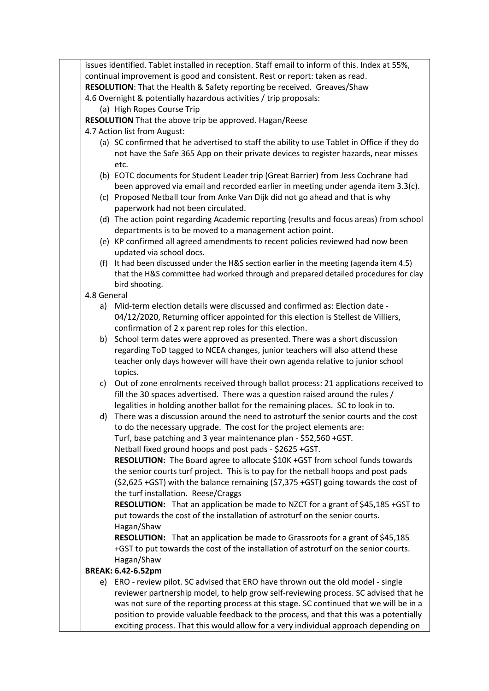issues identified. Tablet installed in reception. Staff email to inform of this. Index at 55%, continual improvement is good and consistent. Rest or report: taken as read. **RESOLUTION**: That the Health & Safety reporting be received. Greaves/Shaw

4.6 Overnight & potentially hazardous activities / trip proposals:

(a) High Ropes Course Trip

**RESOLUTION** That the above trip be approved. Hagan/Reese

- 4.7 Action list from August:
	- (a) SC confirmed that he advertised to staff the ability to use Tablet in Office if they do not have the Safe 365 App on their private devices to register hazards, near misses etc.
	- (b) EOTC documents for Student Leader trip (Great Barrier) from Jess Cochrane had been approved via email and recorded earlier in meeting under agenda item 3.3(c).
	- (c) Proposed Netball tour from Anke Van Dijk did not go ahead and that is why paperwork had not been circulated.
	- (d) The action point regarding Academic reporting (results and focus areas) from school departments is to be moved to a management action point.
	- (e) KP confirmed all agreed amendments to recent policies reviewed had now been updated via school docs.
	- (f) It had been discussed under the H&S section earlier in the meeting (agenda item 4.5) that the H&S committee had worked through and prepared detailed procedures for clay bird shooting.

## 4.8 General

- a) Mid-term election details were discussed and confirmed as: Election date 04/12/2020, Returning officer appointed for this election is Stellest de Villiers, confirmation of 2 x parent rep roles for this election.
- b) School term dates were approved as presented. There was a short discussion regarding ToD tagged to NCEA changes, junior teachers will also attend these teacher only days however will have their own agenda relative to junior school topics.
- c) Out of zone enrolments received through ballot process: 21 applications received to fill the 30 spaces advertised. There was a question raised around the rules / legalities in holding another ballot for the remaining places. SC to look in to.
- d) There was a discussion around the need to astroturf the senior courts and the cost to do the necessary upgrade. The cost for the project elements are: Turf, base patching and 3 year maintenance plan - \$52,560 +GST. Netball fixed ground hoops and post pads - \$2625 +GST.

**RESOLUTION:** The Board agree to allocate \$10K +GST from school funds towards the senior courts turf project. This is to pay for the netball hoops and post pads (\$2,625 +GST) with the balance remaining (\$7,375 +GST) going towards the cost of the turf installation. Reese/Craggs

**RESOLUTION:** That an application be made to NZCT for a grant of \$45,185 +GST to put towards the cost of the installation of astroturf on the senior courts. Hagan/Shaw

**RESOLUTION:** That an application be made to Grassroots for a grant of \$45,185 +GST to put towards the cost of the installation of astroturf on the senior courts. Hagan/Shaw

## **BREAK: 6.42-6.52pm**

e) ERO - review pilot. SC advised that ERO have thrown out the old model - single reviewer partnership model, to help grow self-reviewing process. SC advised that he was not sure of the reporting process at this stage. SC continued that we will be in a position to provide valuable feedback to the process, and that this was a potentially exciting process. That this would allow for a very individual approach depending on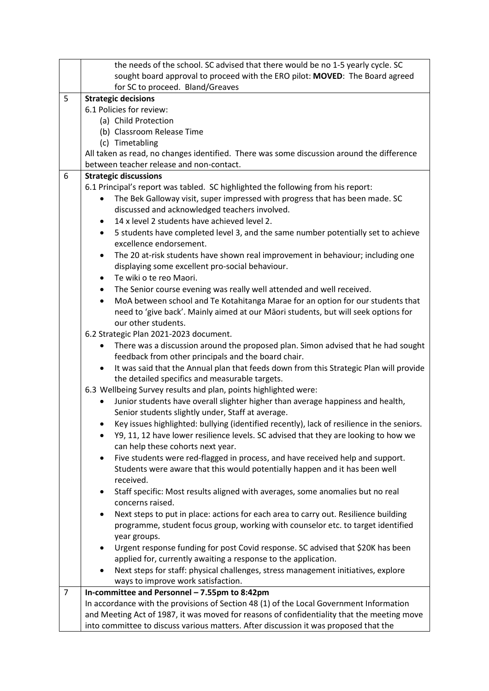|                | the needs of the school. SC advised that there would be no 1-5 yearly cycle. SC                     |
|----------------|-----------------------------------------------------------------------------------------------------|
|                | sought board approval to proceed with the ERO pilot: MOVED: The Board agreed                        |
|                | for SC to proceed. Bland/Greaves                                                                    |
| 5              | <b>Strategic decisions</b>                                                                          |
|                | 6.1 Policies for review:                                                                            |
|                | (a) Child Protection                                                                                |
|                | (b) Classroom Release Time                                                                          |
|                | (c) Timetabling                                                                                     |
|                | All taken as read, no changes identified. There was some discussion around the difference           |
|                | between teacher release and non-contact.                                                            |
| 6              | <b>Strategic discussions</b>                                                                        |
|                | 6.1 Principal's report was tabled. SC highlighted the following from his report:                    |
|                | The Bek Galloway visit, super impressed with progress that has been made. SC                        |
|                | discussed and acknowledged teachers involved.                                                       |
|                | 14 x level 2 students have achieved level 2.<br>٠                                                   |
|                | 5 students have completed level 3, and the same number potentially set to achieve<br>$\bullet$      |
|                | excellence endorsement.                                                                             |
|                | The 20 at-risk students have shown real improvement in behaviour; including one<br>٠                |
|                | displaying some excellent pro-social behaviour.                                                     |
|                | Te wiki o te reo Maori.<br>$\bullet$                                                                |
|                | The Senior course evening was really well attended and well received.<br>$\bullet$                  |
|                | MoA between school and Te Kotahitanga Marae for an option for our students that<br>$\bullet$        |
|                | need to 'give back'. Mainly aimed at our Māori students, but will seek options for                  |
|                | our other students.                                                                                 |
|                | 6.2 Strategic Plan 2021-2023 document.                                                              |
|                | There was a discussion around the proposed plan. Simon advised that he had sought<br>٠              |
|                | feedback from other principals and the board chair.                                                 |
|                | It was said that the Annual plan that feeds down from this Strategic Plan will provide<br>$\bullet$ |
|                | the detailed specifics and measurable targets.                                                      |
|                | 6.3 Wellbeing Survey results and plan, points highlighted were:                                     |
|                | Junior students have overall slighter higher than average happiness and health,                     |
|                | Senior students slightly under, Staff at average.                                                   |
|                | Key issues highlighted: bullying (identified recently), lack of resilience in the seniors.          |
|                | Y9, 11, 12 have lower resilience levels. SC advised that they are looking to how we                 |
|                | can help these cohorts next year.                                                                   |
|                | Five students were red-flagged in process, and have received help and support.<br>٠                 |
|                | Students were aware that this would potentially happen and it has been well<br>received.            |
|                | Staff specific: Most results aligned with averages, some anomalies but no real<br>٠                 |
|                | concerns raised.                                                                                    |
|                | Next steps to put in place: actions for each area to carry out. Resilience building                 |
|                | programme, student focus group, working with counselor etc. to target identified                    |
|                | year groups.                                                                                        |
|                | Urgent response funding for post Covid response. SC advised that \$20K has been<br>٠                |
|                | applied for, currently awaiting a response to the application.                                      |
|                | Next steps for staff: physical challenges, stress management initiatives, explore                   |
|                | ways to improve work satisfaction.                                                                  |
| $\overline{7}$ | In-committee and Personnel - 7.55pm to 8:42pm                                                       |
|                | In accordance with the provisions of Section 48 (1) of the Local Government Information             |
|                | and Meeting Act of 1987, it was moved for reasons of confidentiality that the meeting move          |
|                | into committee to discuss various matters. After discussion it was proposed that the                |